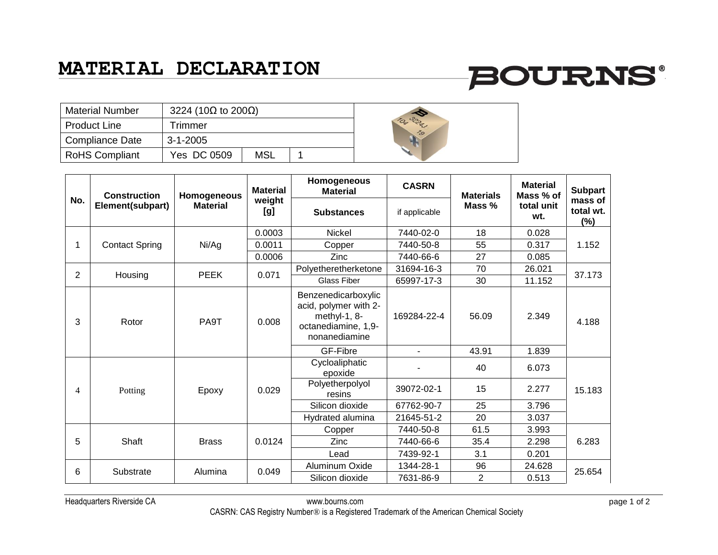### **MATERIAL DECLARATION**

# **BOURNS®**

| <b>Material Number</b> | 3224 (10 $\Omega$ to 200 $\Omega$ ) |     |  |  |
|------------------------|-------------------------------------|-----|--|--|
| <b>Product Line</b>    | Trimmer                             |     |  |  |
| <b>Compliance Date</b> | $3 - 1 - 2005$                      |     |  |  |
| <b>RoHS Compliant</b>  | Yes DC 0509                         | MSL |  |  |



| No.            | <b>Construction</b><br>Element(subpart) | Homogeneous<br><b>Material</b> | <b>Material</b><br>weight<br>[g] | Homogeneous<br><b>Material</b>                                                                       | <b>CASRN</b>   | <b>Materials</b><br>Mass % | <b>Material</b><br>Mass % of<br>total unit<br>wt. | <b>Subpart</b><br>mass of<br>total wt.<br>(%) |
|----------------|-----------------------------------------|--------------------------------|----------------------------------|------------------------------------------------------------------------------------------------------|----------------|----------------------------|---------------------------------------------------|-----------------------------------------------|
|                |                                         |                                |                                  | <b>Substances</b>                                                                                    | if applicable  |                            |                                                   |                                               |
|                | <b>Contact Spring</b>                   | Ni/Ag                          | 0.0003                           | Nickel                                                                                               | 7440-02-0      | 18                         | 0.028                                             | 1.152                                         |
|                |                                         |                                | 0.0011                           | Copper                                                                                               | 7440-50-8      | 55                         | 0.317                                             |                                               |
|                |                                         |                                | 0.0006                           | Zinc                                                                                                 | 7440-66-6      | 27                         | 0.085                                             |                                               |
| $\overline{2}$ | Housing                                 | <b>PEEK</b>                    | 0.071                            | Polyetheretherketone                                                                                 | 31694-16-3     | 70                         | 26.021                                            | 37.173                                        |
|                |                                         |                                |                                  | <b>Glass Fiber</b>                                                                                   | 65997-17-3     | 30                         | 11.152                                            |                                               |
| 3              | Rotor                                   | PA9T                           | 0.008                            | Benzenedicarboxylic<br>acid, polymer with 2-<br>methyl-1, 8-<br>octanediamine, 1,9-<br>nonanediamine | 169284-22-4    | 56.09                      | 2.349                                             | 4.188                                         |
|                |                                         |                                |                                  | GF-Fibre                                                                                             | $\overline{a}$ | 43.91                      | 1.839                                             |                                               |
| $\overline{4}$ | Potting                                 | Epoxy                          | 0.029                            | Cycloaliphatic<br>epoxide                                                                            |                | 40                         | 6.073                                             | 15.183                                        |
|                |                                         |                                |                                  | Polyetherpolyol<br>resins                                                                            | 39072-02-1     | 15                         | 2.277                                             |                                               |
|                |                                         |                                |                                  | Silicon dioxide                                                                                      | 67762-90-7     | 25                         | 3.796                                             |                                               |
|                |                                         |                                |                                  | Hydrated alumina                                                                                     | 21645-51-2     | 20                         | 3.037                                             |                                               |
| 5              | Shaft                                   | <b>Brass</b>                   | 0.0124                           | Copper                                                                                               | 7440-50-8      | 61.5                       | 3.993                                             | 6.283                                         |
|                |                                         |                                |                                  | Zinc                                                                                                 | 7440-66-6      | 35.4                       | 2.298                                             |                                               |
|                |                                         |                                |                                  | Lead                                                                                                 | 7439-92-1      | 3.1                        | 0.201                                             |                                               |
| 6              | Substrate                               | Alumina                        | 0.049                            | Aluminum Oxide                                                                                       | 1344-28-1      | 96                         | 24.628                                            | 25.654                                        |
|                |                                         |                                |                                  | Silicon dioxide                                                                                      | 7631-86-9      | $\overline{2}$             | 0.513                                             |                                               |

Headquarters Riverside CA www.bourns.com page 1 of 2 CASRN: CAS Registry Number® is a Registered Trademark of the American Chemical Society